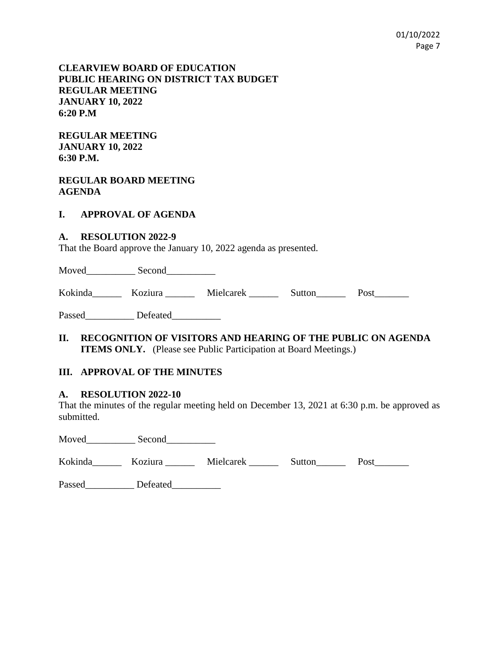### **CLEARVIEW BOARD OF EDUCATION PUBLIC HEARING ON DISTRICT TAX BUDGET REGULAR MEETING JANUARY 10, 2022 6:20 P.M**

**REGULAR MEETING JANUARY 10, 2022 6:30 P.M.**

### **REGULAR BOARD MEETING AGENDA**

#### **I. APPROVAL OF AGENDA**

#### **A. RESOLUTION 2022-9**

That the Board approve the January 10, 2022 agenda as presented.

Moved Second

Kokinda\_\_\_\_\_\_\_ Koziura \_\_\_\_\_\_ Mielcarek \_\_\_\_\_\_\_ Sutton\_\_\_\_\_\_ Post\_\_\_\_\_\_\_

Passed Defeated

**II. RECOGNITION OF VISITORS AND HEARING OF THE PUBLIC ON AGENDA ITEMS ONLY.** (Please see Public Participation at Board Meetings.)

### **III. APPROVAL OF THE MINUTES**

#### **A. RESOLUTION 2022-10**

That the minutes of the regular meeting held on December 13, 2021 at 6:30 p.m. be approved as submitted.

Moved Second

| Kokinda | Koziura | Mielcarek | Sutton | Post |
|---------|---------|-----------|--------|------|
|---------|---------|-----------|--------|------|

Passed\_\_\_\_\_\_\_\_\_\_\_ Defeated\_\_\_\_\_\_\_\_\_\_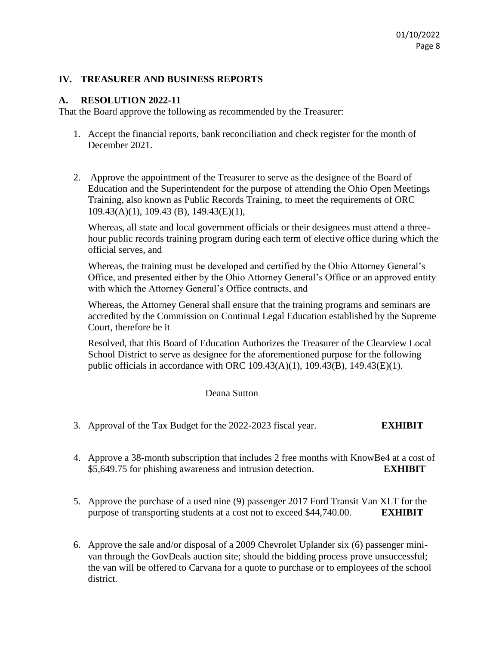### **IV. TREASURER AND BUSINESS REPORTS**

### **A. RESOLUTION 2022-11**

That the Board approve the following as recommended by the Treasurer:

- 1. Accept the financial reports, bank reconciliation and check register for the month of December 2021.
- 2. Approve the appointment of the Treasurer to serve as the designee of the Board of Education and the Superintendent for the purpose of attending the Ohio Open Meetings Training, also known as Public Records Training, to meet the requirements of ORC 109.43(A)(1), 109.43 (B), 149.43(E)(1),

Whereas, all state and local government officials or their designees must attend a threehour public records training program during each term of elective office during which the official serves, and

Whereas, the training must be developed and certified by the Ohio Attorney General's Office, and presented either by the Ohio Attorney General's Office or an approved entity with which the Attorney General's Office contracts, and

Whereas, the Attorney General shall ensure that the training programs and seminars are accredited by the Commission on Continual Legal Education established by the Supreme Court, therefore be it

Resolved, that this Board of Education Authorizes the Treasurer of the Clearview Local School District to serve as designee for the aforementioned purpose for the following public officials in accordance with ORC 109.43(A)(1), 109.43(B), 149.43(E)(1).

### Deana Sutton

- 3. Approval of the Tax Budget for the 2022-2023 fiscal year. **EXHIBIT**
- 4. Approve a 38-month subscription that includes 2 free months with KnowBe4 at a cost of \$5,649.75 for phishing awareness and intrusion detection. **EXHIBIT**
- 5. Approve the purchase of a used nine (9) passenger 2017 Ford Transit Van XLT for the purpose of transporting students at a cost not to exceed \$44,740.00. **EXHIBIT**
- 6. Approve the sale and/or disposal of a 2009 Chevrolet Uplander six (6) passenger minivan through the GovDeals auction site; should the bidding process prove unsuccessful; the van will be offered to Carvana for a quote to purchase or to employees of the school district.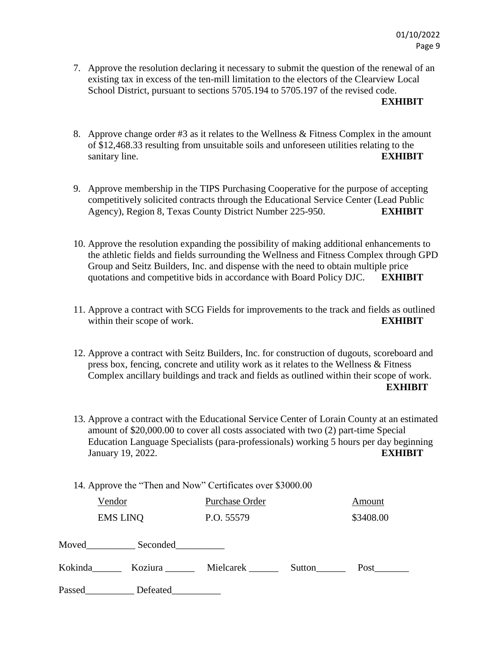7. Approve the resolution declaring it necessary to submit the question of the renewal of an existing tax in excess of the ten-mill limitation to the electors of the Clearview Local School District, pursuant to sections 5705.194 to 5705.197 of the revised code.

#### **EXHIBIT**

- 8. Approve change order #3 as it relates to the Wellness & Fitness Complex in the amount of \$12,468.33 resulting from unsuitable soils and unforeseen utilities relating to the sanitary line. **EXHIBIT**
- 9. Approve membership in the TIPS Purchasing Cooperative for the purpose of accepting competitively solicited contracts through the Educational Service Center (Lead Public Agency), Region 8, Texas County District Number 225-950. **EXHIBIT**
- 10. Approve the resolution expanding the possibility of making additional enhancements to the athletic fields and fields surrounding the Wellness and Fitness Complex through GPD Group and Seitz Builders, Inc. and dispense with the need to obtain multiple price quotations and competitive bids in accordance with Board Policy DJC. **EXHIBIT**
- 11. Approve a contract with SCG Fields for improvements to the track and fields as outlined within their scope of work. **EXHIBIT**
- 12. Approve a contract with Seitz Builders, Inc. for construction of dugouts, scoreboard and press box, fencing, concrete and utility work as it relates to the Wellness & Fitness Complex ancillary buildings and track and fields as outlined within their scope of work. **EXHIBIT**
- 13. Approve a contract with the Educational Service Center of Lorain County at an estimated amount of \$20,000.00 to cover all costs associated with two (2) part-time Special Education Language Specialists (para-professionals) working 5 hours per day beginning January 19, 2022. **EXHIBIT**
- 14. Approve the "Then and Now" Certificates over \$3000.00

|                | Vendor                                              | Purchase Order |        | Amount    |  |
|----------------|-----------------------------------------------------|----------------|--------|-----------|--|
|                | <b>EMS LINQ</b>                                     | P.O. 55579     |        | \$3408.00 |  |
|                |                                                     |                |        |           |  |
| Kokinda        | Koziura ______                                      | Mielcarek      | Sutton | Post      |  |
| $\mathbf{r}$ 1 | $\mathbf{r}$ $\mathbf{r}$ $\mathbf{r}$ $\mathbf{r}$ |                |        |           |  |

Passed\_\_\_\_\_\_\_\_\_\_\_\_\_ Defeated\_\_\_\_\_\_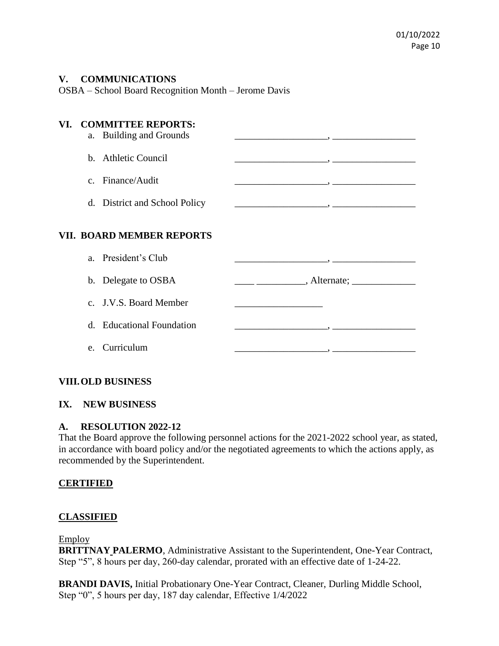### **V. COMMUNICATIONS**

OSBA – School Board Recognition Month – Jerome Davis

# **VI. COMMITTEE REPORTS:**

| a. Building and Grounds |  |
|-------------------------|--|
| b. Athletic Council     |  |
| c. Finance/Audit        |  |
|                         |  |

# d. District and School Policy \_\_\_\_\_\_\_\_\_\_\_\_\_\_\_\_\_\_\_, \_\_\_\_\_\_\_\_\_\_\_\_\_\_\_\_\_

## **VII. BOARD MEMBER REPORTS**

| a. President's Club       |                        |
|---------------------------|------------------------|
| b. Delegate to OSBA       | , Alternate; _________ |
| c. J.V.S. Board Member    |                        |
| d. Educational Foundation |                        |
| e. Curriculum             |                        |

## **VIII.OLD BUSINESS**

# **IX. NEW BUSINESS**

## **A. RESOLUTION 2022-12**

That the Board approve the following personnel actions for the 2021-2022 school year, as stated, in accordance with board policy and/or the negotiated agreements to which the actions apply, as recommended by the Superintendent.

### **CERTIFIED**

## **CLASSIFIED**

### Employ

**BRITTNAY PALERMO**, Administrative Assistant to the Superintendent, One-Year Contract, Step "5", 8 hours per day, 260-day calendar, prorated with an effective date of 1-24-22.

**BRANDI DAVIS,** Initial Probationary One-Year Contract, Cleaner, Durling Middle School, Step "0", 5 hours per day, 187 day calendar, Effective 1/4/2022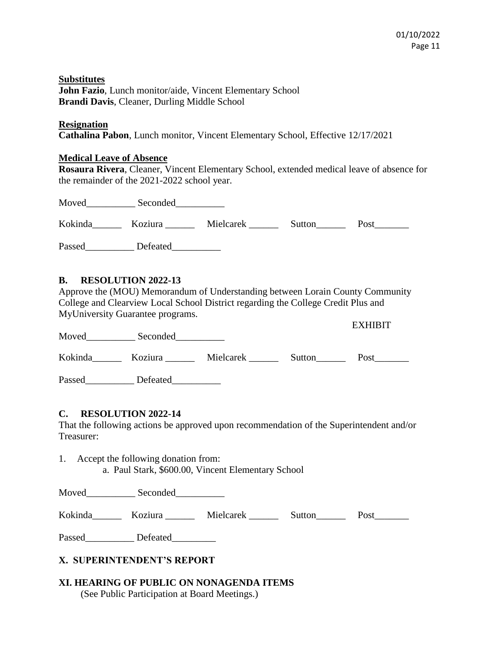**Substitutes John Fazio**, Lunch monitor/aide, Vincent Elementary School **Brandi Davis**, Cleaner, Durling Middle School

#### **Resignation**

**Cathalina Pabon**, Lunch monitor, Vincent Elementary School, Effective 12/17/2021

### **Medical Leave of Absence**

**Rosaura Rivera**, Cleaner, Vincent Elementary School, extended medical leave of absence for the remainder of the 2021-2022 school year.

| Moved   | Seconded |           |        |      |
|---------|----------|-----------|--------|------|
| Kokinda | Koziura  | Mielcarek | Sutton | Post |
| Passed  | Defeated |           |        |      |

## **B. RESOLUTION 2022-13**

Approve the (MOU) Memorandum of Understanding between Lorain County Community College and Clearview Local School District regarding the College Credit Plus and MyUniversity Guarantee programs. EXHIDIT

| Moved   | Seconded |           |        |      |
|---------|----------|-----------|--------|------|
| Kokinda | Koziura  | Mielcarek | Sutton | Post |
| Passed  | Defeated |           |        |      |

### **C. RESOLUTION 2022-14**

That the following actions be approved upon recommendation of the Superintendent and/or Treasurer:

1. Accept the following donation from: a. Paul Stark, \$600.00, Vincent Elementary School

Moved\_\_\_\_\_\_\_\_\_\_ Seconded\_\_\_\_\_\_\_\_\_\_

Kokinda Koziura Mielcarek Sutton Post

Passed\_\_\_\_\_\_\_\_\_\_\_ Defeated\_\_\_\_\_\_\_\_\_

# **X. SUPERINTENDENT'S REPORT**

#### **XI. HEARING OF PUBLIC ON NONAGENDA ITEMS** (See Public Participation at Board Meetings.)